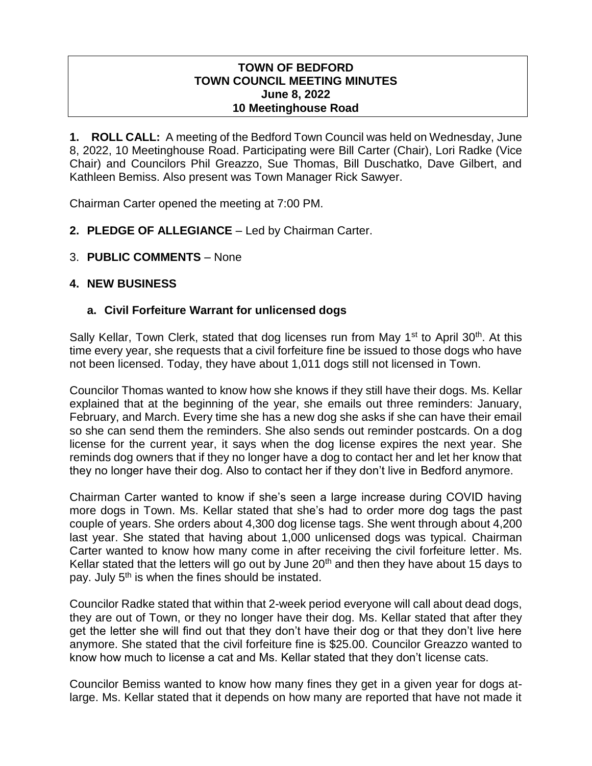#### **TOWN OF BEDFORD TOWN COUNCIL MEETING MINUTES June 8, 2022 10 Meetinghouse Road**

**1. ROLL CALL:** A meeting of the Bedford Town Council was held on Wednesday, June 8, 2022, 10 Meetinghouse Road. Participating were Bill Carter (Chair), Lori Radke (Vice Chair) and Councilors Phil Greazzo, Sue Thomas, Bill Duschatko, Dave Gilbert, and Kathleen Bemiss. Also present was Town Manager Rick Sawyer.

Chairman Carter opened the meeting at 7:00 PM.

- 2. **PLEDGE OF ALLEGIANCE** Led by Chairman Carter.
- 3. **PUBLIC COMMENTS** None

## **4. NEW BUSINESS**

## **a. Civil Forfeiture Warrant for unlicensed dogs**

Sally Kellar, Town Clerk, stated that dog licenses run from May 1<sup>st</sup> to April 30<sup>th</sup>. At this time every year, she requests that a civil forfeiture fine be issued to those dogs who have not been licensed. Today, they have about 1,011 dogs still not licensed in Town.

Councilor Thomas wanted to know how she knows if they still have their dogs. Ms. Kellar explained that at the beginning of the year, she emails out three reminders: January, February, and March. Every time she has a new dog she asks if she can have their email so she can send them the reminders. She also sends out reminder postcards. On a dog license for the current year, it says when the dog license expires the next year. She reminds dog owners that if they no longer have a dog to contact her and let her know that they no longer have their dog. Also to contact her if they don't live in Bedford anymore.

Chairman Carter wanted to know if she's seen a large increase during COVID having more dogs in Town. Ms. Kellar stated that she's had to order more dog tags the past couple of years. She orders about 4,300 dog license tags. She went through about 4,200 last year. She stated that having about 1,000 unlicensed dogs was typical. Chairman Carter wanted to know how many come in after receiving the civil forfeiture letter. Ms. Kellar stated that the letters will go out by June  $20<sup>th</sup>$  and then they have about 15 days to pay. July 5<sup>th</sup> is when the fines should be instated.

Councilor Radke stated that within that 2-week period everyone will call about dead dogs, they are out of Town, or they no longer have their dog. Ms. Kellar stated that after they get the letter she will find out that they don't have their dog or that they don't live here anymore. She stated that the civil forfeiture fine is \$25.00. Councilor Greazzo wanted to know how much to license a cat and Ms. Kellar stated that they don't license cats.

Councilor Bemiss wanted to know how many fines they get in a given year for dogs atlarge. Ms. Kellar stated that it depends on how many are reported that have not made it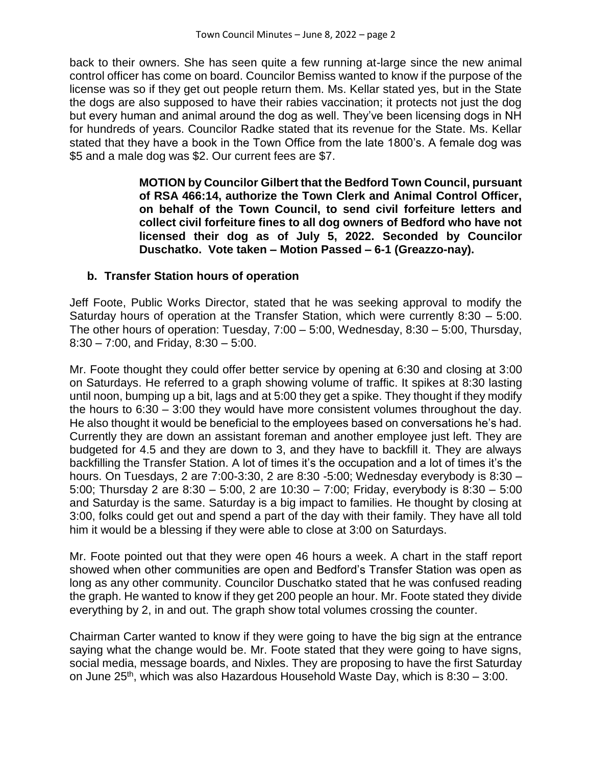back to their owners. She has seen quite a few running at-large since the new animal control officer has come on board. Councilor Bemiss wanted to know if the purpose of the license was so if they get out people return them. Ms. Kellar stated yes, but in the State the dogs are also supposed to have their rabies vaccination; it protects not just the dog but every human and animal around the dog as well. They've been licensing dogs in NH for hundreds of years. Councilor Radke stated that its revenue for the State. Ms. Kellar stated that they have a book in the Town Office from the late 1800's. A female dog was \$5 and a male dog was \$2. Our current fees are \$7.

> **MOTION by Councilor Gilbert that the Bedford Town Council, pursuant of RSA 466:14, authorize the Town Clerk and Animal Control Officer, on behalf of the Town Council, to send civil forfeiture letters and collect civil forfeiture fines to all dog owners of Bedford who have not licensed their dog as of July 5, 2022. Seconded by Councilor Duschatko. Vote taken – Motion Passed – 6-1 (Greazzo-nay).**

### **b. Transfer Station hours of operation**

Jeff Foote, Public Works Director, stated that he was seeking approval to modify the Saturday hours of operation at the Transfer Station, which were currently 8:30 – 5:00. The other hours of operation: Tuesday, 7:00 – 5:00, Wednesday, 8:30 – 5:00, Thursday, 8:30 – 7:00, and Friday, 8:30 – 5:00.

Mr. Foote thought they could offer better service by opening at 6:30 and closing at 3:00 on Saturdays. He referred to a graph showing volume of traffic. It spikes at 8:30 lasting until noon, bumping up a bit, lags and at 5:00 they get a spike. They thought if they modify the hours to 6:30 – 3:00 they would have more consistent volumes throughout the day. He also thought it would be beneficial to the employees based on conversations he's had. Currently they are down an assistant foreman and another employee just left. They are budgeted for 4.5 and they are down to 3, and they have to backfill it. They are always backfilling the Transfer Station. A lot of times it's the occupation and a lot of times it's the hours. On Tuesdays, 2 are 7:00-3:30, 2 are 8:30 -5:00; Wednesday everybody is 8:30 – 5:00; Thursday 2 are 8:30 – 5:00, 2 are 10:30 – 7:00; Friday, everybody is 8:30 – 5:00 and Saturday is the same. Saturday is a big impact to families. He thought by closing at 3:00, folks could get out and spend a part of the day with their family. They have all told him it would be a blessing if they were able to close at 3:00 on Saturdays.

Mr. Foote pointed out that they were open 46 hours a week. A chart in the staff report showed when other communities are open and Bedford's Transfer Station was open as long as any other community. Councilor Duschatko stated that he was confused reading the graph. He wanted to know if they get 200 people an hour. Mr. Foote stated they divide everything by 2, in and out. The graph show total volumes crossing the counter.

Chairman Carter wanted to know if they were going to have the big sign at the entrance saying what the change would be. Mr. Foote stated that they were going to have signs, social media, message boards, and Nixles. They are proposing to have the first Saturday on June  $25<sup>th</sup>$ , which was also Hazardous Household Waste Day, which is  $8:30 - 3:00$ .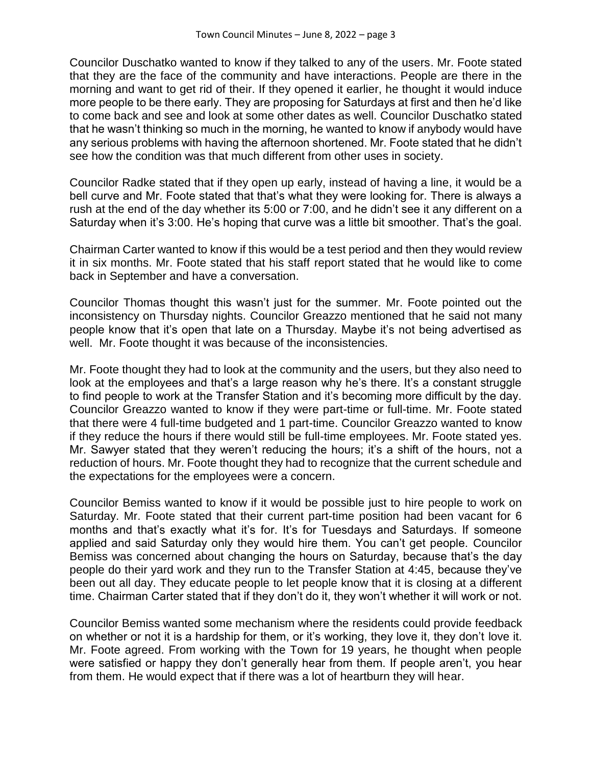Councilor Duschatko wanted to know if they talked to any of the users. Mr. Foote stated that they are the face of the community and have interactions. People are there in the morning and want to get rid of their. If they opened it earlier, he thought it would induce more people to be there early. They are proposing for Saturdays at first and then he'd like to come back and see and look at some other dates as well. Councilor Duschatko stated that he wasn't thinking so much in the morning, he wanted to know if anybody would have any serious problems with having the afternoon shortened. Mr. Foote stated that he didn't see how the condition was that much different from other uses in society.

Councilor Radke stated that if they open up early, instead of having a line, it would be a bell curve and Mr. Foote stated that that's what they were looking for. There is always a rush at the end of the day whether its 5:00 or 7:00, and he didn't see it any different on a Saturday when it's 3:00. He's hoping that curve was a little bit smoother. That's the goal.

Chairman Carter wanted to know if this would be a test period and then they would review it in six months. Mr. Foote stated that his staff report stated that he would like to come back in September and have a conversation.

Councilor Thomas thought this wasn't just for the summer. Mr. Foote pointed out the inconsistency on Thursday nights. Councilor Greazzo mentioned that he said not many people know that it's open that late on a Thursday. Maybe it's not being advertised as well. Mr. Foote thought it was because of the inconsistencies.

Mr. Foote thought they had to look at the community and the users, but they also need to look at the employees and that's a large reason why he's there. It's a constant struggle to find people to work at the Transfer Station and it's becoming more difficult by the day. Councilor Greazzo wanted to know if they were part-time or full-time. Mr. Foote stated that there were 4 full-time budgeted and 1 part-time. Councilor Greazzo wanted to know if they reduce the hours if there would still be full-time employees. Mr. Foote stated yes. Mr. Sawyer stated that they weren't reducing the hours; it's a shift of the hours, not a reduction of hours. Mr. Foote thought they had to recognize that the current schedule and the expectations for the employees were a concern.

Councilor Bemiss wanted to know if it would be possible just to hire people to work on Saturday. Mr. Foote stated that their current part-time position had been vacant for 6 months and that's exactly what it's for. It's for Tuesdays and Saturdays. If someone applied and said Saturday only they would hire them. You can't get people. Councilor Bemiss was concerned about changing the hours on Saturday, because that's the day people do their yard work and they run to the Transfer Station at 4:45, because they've been out all day. They educate people to let people know that it is closing at a different time. Chairman Carter stated that if they don't do it, they won't whether it will work or not.

Councilor Bemiss wanted some mechanism where the residents could provide feedback on whether or not it is a hardship for them, or it's working, they love it, they don't love it. Mr. Foote agreed. From working with the Town for 19 years, he thought when people were satisfied or happy they don't generally hear from them. If people aren't, you hear from them. He would expect that if there was a lot of heartburn they will hear.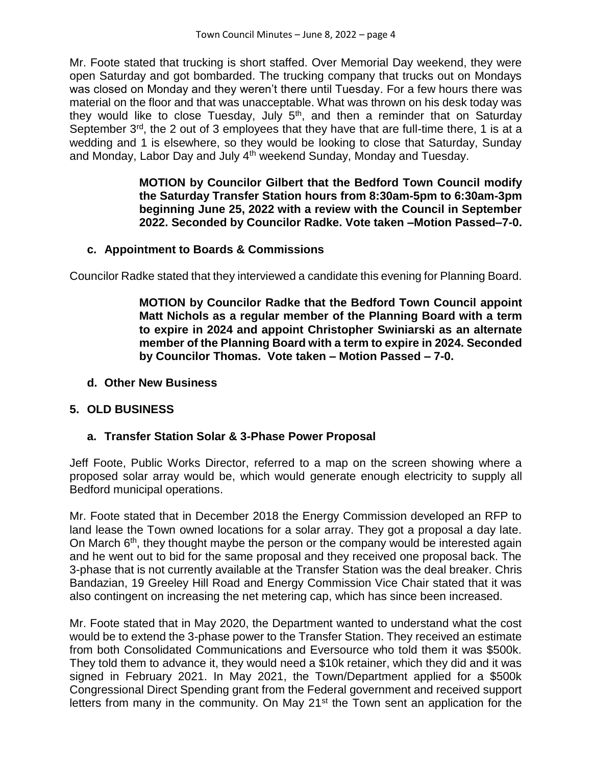Mr. Foote stated that trucking is short staffed. Over Memorial Day weekend, they were open Saturday and got bombarded. The trucking company that trucks out on Mondays was closed on Monday and they weren't there until Tuesday. For a few hours there was material on the floor and that was unacceptable. What was thrown on his desk today was they would like to close Tuesday, July  $5<sup>th</sup>$ , and then a reminder that on Saturday September 3<sup>rd</sup>, the 2 out of 3 employees that they have that are full-time there, 1 is at a wedding and 1 is elsewhere, so they would be looking to close that Saturday, Sunday and Monday, Labor Day and July 4<sup>th</sup> weekend Sunday, Monday and Tuesday.

> **MOTION by Councilor Gilbert that the Bedford Town Council modify the Saturday Transfer Station hours from 8:30am-5pm to 6:30am-3pm beginning June 25, 2022 with a review with the Council in September 2022. Seconded by Councilor Radke. Vote taken –Motion Passed–7-0.**

### **c. Appointment to Boards & Commissions**

Councilor Radke stated that they interviewed a candidate this evening for Planning Board.

**MOTION by Councilor Radke that the Bedford Town Council appoint Matt Nichols as a regular member of the Planning Board with a term to expire in 2024 and appoint Christopher Swiniarski as an alternate member of the Planning Board with a term to expire in 2024. Seconded by Councilor Thomas. Vote taken – Motion Passed – 7-0.**

#### **d. Other New Business**

#### **5. OLD BUSINESS**

#### **a. Transfer Station Solar & 3-Phase Power Proposal**

Jeff Foote, Public Works Director, referred to a map on the screen showing where a proposed solar array would be, which would generate enough electricity to supply all Bedford municipal operations.

Mr. Foote stated that in December 2018 the Energy Commission developed an RFP to land lease the Town owned locations for a solar array. They got a proposal a day late. On March 6<sup>th</sup>, they thought maybe the person or the company would be interested again and he went out to bid for the same proposal and they received one proposal back. The 3-phase that is not currently available at the Transfer Station was the deal breaker. Chris Bandazian, 19 Greeley Hill Road and Energy Commission Vice Chair stated that it was also contingent on increasing the net metering cap, which has since been increased.

Mr. Foote stated that in May 2020, the Department wanted to understand what the cost would be to extend the 3-phase power to the Transfer Station. They received an estimate from both Consolidated Communications and Eversource who told them it was \$500k. They told them to advance it, they would need a \$10k retainer, which they did and it was signed in February 2021. In May 2021, the Town/Department applied for a \$500k Congressional Direct Spending grant from the Federal government and received support letters from many in the community. On May 21<sup>st</sup> the Town sent an application for the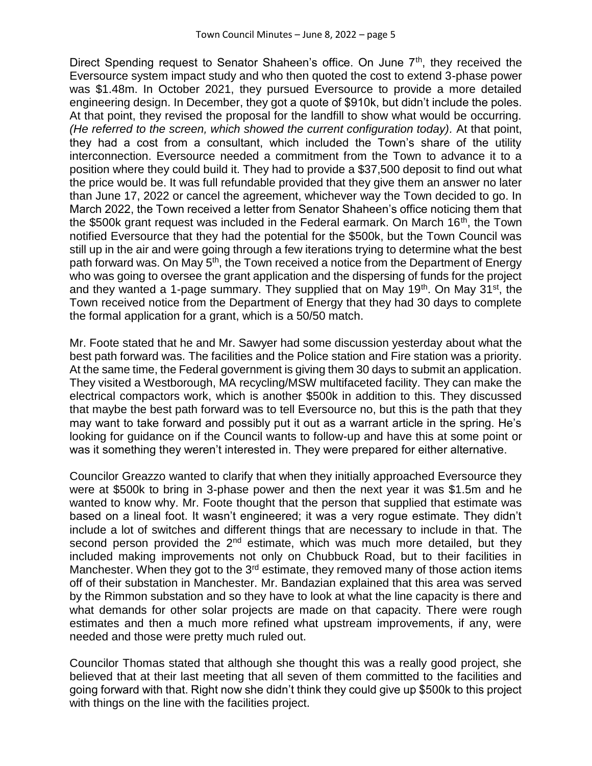Direct Spending request to Senator Shaheen's office. On June  $7<sup>th</sup>$ , they received the Eversource system impact study and who then quoted the cost to extend 3-phase power was \$1.48m. In October 2021, they pursued Eversource to provide a more detailed engineering design. In December, they got a quote of \$910k, but didn't include the poles. At that point, they revised the proposal for the landfill to show what would be occurring. *(He referred to the screen, which showed the current configuration today).* At that point, they had a cost from a consultant, which included the Town's share of the utility interconnection. Eversource needed a commitment from the Town to advance it to a position where they could build it. They had to provide a \$37,500 deposit to find out what the price would be. It was full refundable provided that they give them an answer no later than June 17, 2022 or cancel the agreement, whichever way the Town decided to go. In March 2022, the Town received a letter from Senator Shaheen's office noticing them that the \$500k grant request was included in the Federal earmark. On March  $16<sup>th</sup>$ , the Town notified Eversource that they had the potential for the \$500k, but the Town Council was still up in the air and were going through a few iterations trying to determine what the best path forward was. On May 5<sup>th</sup>, the Town received a notice from the Department of Energy who was going to oversee the grant application and the dispersing of funds for the project and they wanted a 1-page summary. They supplied that on May  $19<sup>th</sup>$ . On May  $31<sup>st</sup>$ , the Town received notice from the Department of Energy that they had 30 days to complete the formal application for a grant, which is a 50/50 match.

Mr. Foote stated that he and Mr. Sawyer had some discussion yesterday about what the best path forward was. The facilities and the Police station and Fire station was a priority. At the same time, the Federal government is giving them 30 days to submit an application. They visited a Westborough, MA recycling/MSW multifaceted facility. They can make the electrical compactors work, which is another \$500k in addition to this. They discussed that maybe the best path forward was to tell Eversource no, but this is the path that they may want to take forward and possibly put it out as a warrant article in the spring. He's looking for guidance on if the Council wants to follow-up and have this at some point or was it something they weren't interested in. They were prepared for either alternative.

Councilor Greazzo wanted to clarify that when they initially approached Eversource they were at \$500k to bring in 3-phase power and then the next year it was \$1.5m and he wanted to know why. Mr. Foote thought that the person that supplied that estimate was based on a lineal foot. It wasn't engineered; it was a very rogue estimate. They didn't include a lot of switches and different things that are necessary to include in that. The second person provided the  $2<sup>nd</sup>$  estimate, which was much more detailed, but they included making improvements not only on Chubbuck Road, but to their facilities in Manchester. When they got to the 3<sup>rd</sup> estimate, they removed many of those action items off of their substation in Manchester. Mr. Bandazian explained that this area was served by the Rimmon substation and so they have to look at what the line capacity is there and what demands for other solar projects are made on that capacity. There were rough estimates and then a much more refined what upstream improvements, if any, were needed and those were pretty much ruled out.

Councilor Thomas stated that although she thought this was a really good project, she believed that at their last meeting that all seven of them committed to the facilities and going forward with that. Right now she didn't think they could give up \$500k to this project with things on the line with the facilities project.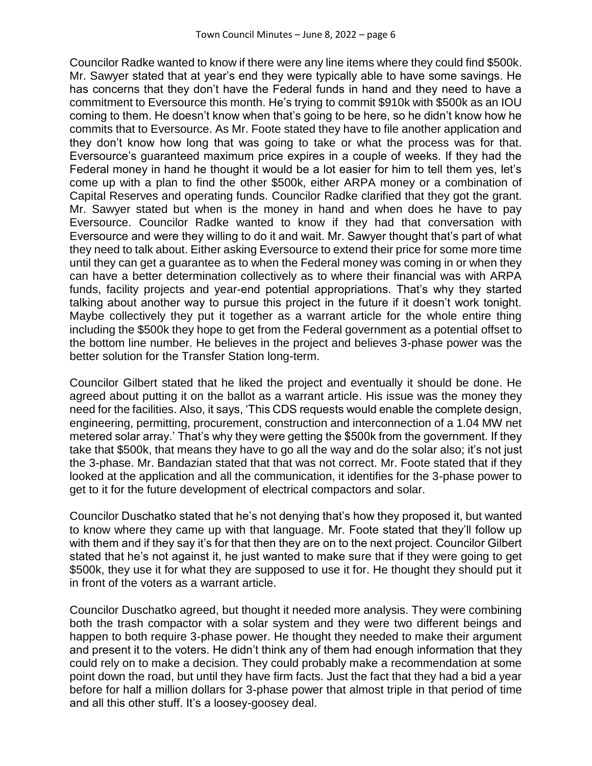Councilor Radke wanted to know if there were any line items where they could find \$500k. Mr. Sawyer stated that at year's end they were typically able to have some savings. He has concerns that they don't have the Federal funds in hand and they need to have a commitment to Eversource this month. He's trying to commit \$910k with \$500k as an IOU coming to them. He doesn't know when that's going to be here, so he didn't know how he commits that to Eversource. As Mr. Foote stated they have to file another application and they don't know how long that was going to take or what the process was for that. Eversource's guaranteed maximum price expires in a couple of weeks. If they had the Federal money in hand he thought it would be a lot easier for him to tell them yes, let's come up with a plan to find the other \$500k, either ARPA money or a combination of Capital Reserves and operating funds. Councilor Radke clarified that they got the grant. Mr. Sawyer stated but when is the money in hand and when does he have to pay Eversource. Councilor Radke wanted to know if they had that conversation with Eversource and were they willing to do it and wait. Mr. Sawyer thought that's part of what they need to talk about. Either asking Eversource to extend their price for some more time until they can get a guarantee as to when the Federal money was coming in or when they can have a better determination collectively as to where their financial was with ARPA funds, facility projects and year-end potential appropriations. That's why they started talking about another way to pursue this project in the future if it doesn't work tonight. Maybe collectively they put it together as a warrant article for the whole entire thing including the \$500k they hope to get from the Federal government as a potential offset to the bottom line number. He believes in the project and believes 3-phase power was the better solution for the Transfer Station long-term.

Councilor Gilbert stated that he liked the project and eventually it should be done. He agreed about putting it on the ballot as a warrant article. His issue was the money they need for the facilities. Also, it says, 'This CDS requests would enable the complete design, engineering, permitting, procurement, construction and interconnection of a 1.04 MW net metered solar array.' That's why they were getting the \$500k from the government. If they take that \$500k, that means they have to go all the way and do the solar also; it's not just the 3-phase. Mr. Bandazian stated that that was not correct. Mr. Foote stated that if they looked at the application and all the communication, it identifies for the 3-phase power to get to it for the future development of electrical compactors and solar.

Councilor Duschatko stated that he's not denying that's how they proposed it, but wanted to know where they came up with that language. Mr. Foote stated that they'll follow up with them and if they say it's for that then they are on to the next project. Councilor Gilbert stated that he's not against it, he just wanted to make sure that if they were going to get \$500k, they use it for what they are supposed to use it for. He thought they should put it in front of the voters as a warrant article.

Councilor Duschatko agreed, but thought it needed more analysis. They were combining both the trash compactor with a solar system and they were two different beings and happen to both require 3-phase power. He thought they needed to make their argument and present it to the voters. He didn't think any of them had enough information that they could rely on to make a decision. They could probably make a recommendation at some point down the road, but until they have firm facts. Just the fact that they had a bid a year before for half a million dollars for 3-phase power that almost triple in that period of time and all this other stuff. It's a loosey-goosey deal.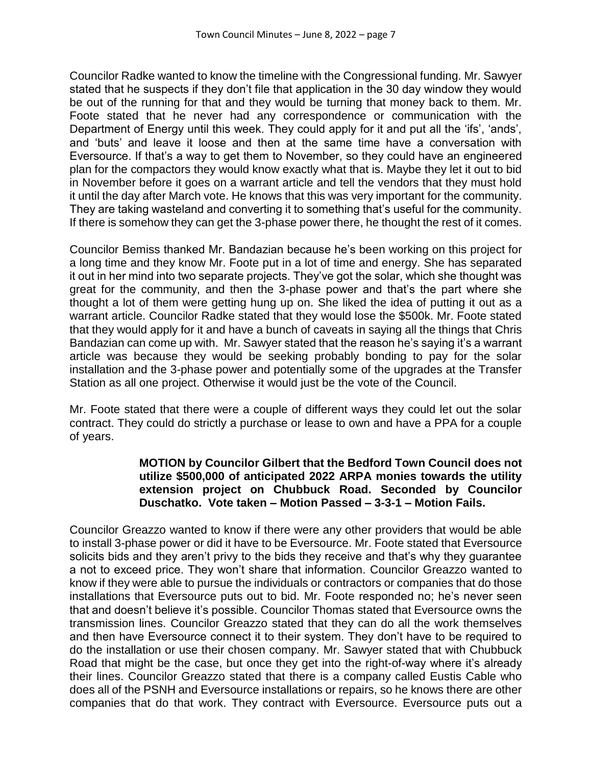Councilor Radke wanted to know the timeline with the Congressional funding. Mr. Sawyer stated that he suspects if they don't file that application in the 30 day window they would be out of the running for that and they would be turning that money back to them. Mr. Foote stated that he never had any correspondence or communication with the Department of Energy until this week. They could apply for it and put all the 'ifs', 'ands', and 'buts' and leave it loose and then at the same time have a conversation with Eversource. If that's a way to get them to November, so they could have an engineered plan for the compactors they would know exactly what that is. Maybe they let it out to bid in November before it goes on a warrant article and tell the vendors that they must hold it until the day after March vote. He knows that this was very important for the community. They are taking wasteland and converting it to something that's useful for the community. If there is somehow they can get the 3-phase power there, he thought the rest of it comes.

Councilor Bemiss thanked Mr. Bandazian because he's been working on this project for a long time and they know Mr. Foote put in a lot of time and energy. She has separated it out in her mind into two separate projects. They've got the solar, which she thought was great for the community, and then the 3-phase power and that's the part where she thought a lot of them were getting hung up on. She liked the idea of putting it out as a warrant article. Councilor Radke stated that they would lose the \$500k. Mr. Foote stated that they would apply for it and have a bunch of caveats in saying all the things that Chris Bandazian can come up with. Mr. Sawyer stated that the reason he's saying it's a warrant article was because they would be seeking probably bonding to pay for the solar installation and the 3-phase power and potentially some of the upgrades at the Transfer Station as all one project. Otherwise it would just be the vote of the Council.

Mr. Foote stated that there were a couple of different ways they could let out the solar contract. They could do strictly a purchase or lease to own and have a PPA for a couple of years.

#### **MOTION by Councilor Gilbert that the Bedford Town Council does not utilize \$500,000 of anticipated 2022 ARPA monies towards the utility extension project on Chubbuck Road. Seconded by Councilor Duschatko. Vote taken – Motion Passed – 3-3-1 – Motion Fails.**

Councilor Greazzo wanted to know if there were any other providers that would be able to install 3-phase power or did it have to be Eversource. Mr. Foote stated that Eversource solicits bids and they aren't privy to the bids they receive and that's why they guarantee a not to exceed price. They won't share that information. Councilor Greazzo wanted to know if they were able to pursue the individuals or contractors or companies that do those installations that Eversource puts out to bid. Mr. Foote responded no; he's never seen that and doesn't believe it's possible. Councilor Thomas stated that Eversource owns the transmission lines. Councilor Greazzo stated that they can do all the work themselves and then have Eversource connect it to their system. They don't have to be required to do the installation or use their chosen company. Mr. Sawyer stated that with Chubbuck Road that might be the case, but once they get into the right-of-way where it's already their lines. Councilor Greazzo stated that there is a company called Eustis Cable who does all of the PSNH and Eversource installations or repairs, so he knows there are other companies that do that work. They contract with Eversource. Eversource puts out a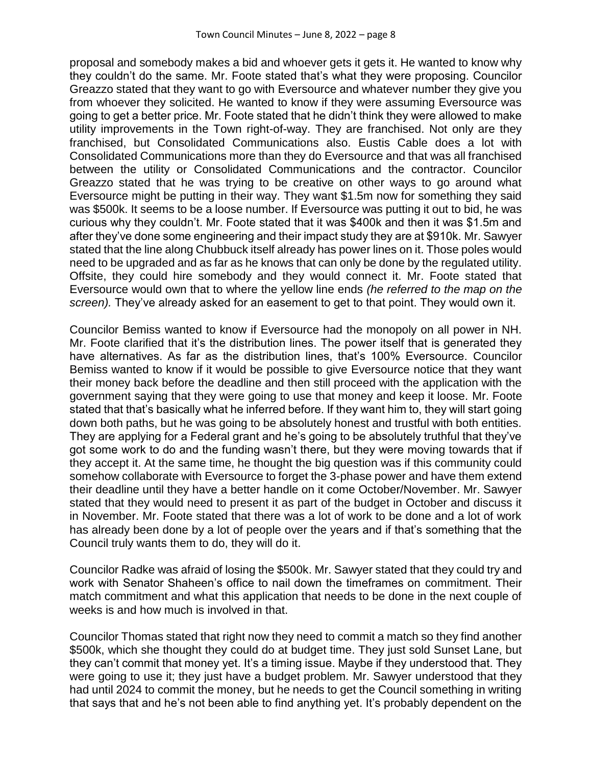proposal and somebody makes a bid and whoever gets it gets it. He wanted to know why they couldn't do the same. Mr. Foote stated that's what they were proposing. Councilor Greazzo stated that they want to go with Eversource and whatever number they give you from whoever they solicited. He wanted to know if they were assuming Eversource was going to get a better price. Mr. Foote stated that he didn't think they were allowed to make utility improvements in the Town right-of-way. They are franchised. Not only are they franchised, but Consolidated Communications also. Eustis Cable does a lot with Consolidated Communications more than they do Eversource and that was all franchised between the utility or Consolidated Communications and the contractor. Councilor Greazzo stated that he was trying to be creative on other ways to go around what Eversource might be putting in their way. They want \$1.5m now for something they said was \$500k. It seems to be a loose number. If Eversource was putting it out to bid, he was curious why they couldn't. Mr. Foote stated that it was \$400k and then it was \$1.5m and after they've done some engineering and their impact study they are at \$910k. Mr. Sawyer stated that the line along Chubbuck itself already has power lines on it. Those poles would need to be upgraded and as far as he knows that can only be done by the regulated utility. Offsite, they could hire somebody and they would connect it. Mr. Foote stated that Eversource would own that to where the yellow line ends *(he referred to the map on the screen).* They've already asked for an easement to get to that point. They would own it.

Councilor Bemiss wanted to know if Eversource had the monopoly on all power in NH. Mr. Foote clarified that it's the distribution lines. The power itself that is generated they have alternatives. As far as the distribution lines, that's 100% Eversource. Councilor Bemiss wanted to know if it would be possible to give Eversource notice that they want their money back before the deadline and then still proceed with the application with the government saying that they were going to use that money and keep it loose. Mr. Foote stated that that's basically what he inferred before. If they want him to, they will start going down both paths, but he was going to be absolutely honest and trustful with both entities. They are applying for a Federal grant and he's going to be absolutely truthful that they've got some work to do and the funding wasn't there, but they were moving towards that if they accept it. At the same time, he thought the big question was if this community could somehow collaborate with Eversource to forget the 3-phase power and have them extend their deadline until they have a better handle on it come October/November. Mr. Sawyer stated that they would need to present it as part of the budget in October and discuss it in November. Mr. Foote stated that there was a lot of work to be done and a lot of work has already been done by a lot of people over the years and if that's something that the Council truly wants them to do, they will do it.

Councilor Radke was afraid of losing the \$500k. Mr. Sawyer stated that they could try and work with Senator Shaheen's office to nail down the timeframes on commitment. Their match commitment and what this application that needs to be done in the next couple of weeks is and how much is involved in that.

Councilor Thomas stated that right now they need to commit a match so they find another \$500k, which she thought they could do at budget time. They just sold Sunset Lane, but they can't commit that money yet. It's a timing issue. Maybe if they understood that. They were going to use it; they just have a budget problem. Mr. Sawyer understood that they had until 2024 to commit the money, but he needs to get the Council something in writing that says that and he's not been able to find anything yet. It's probably dependent on the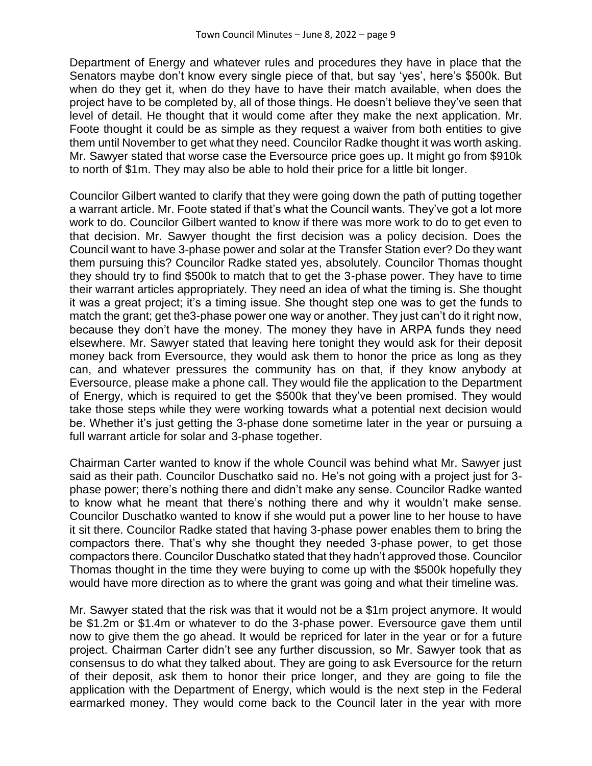Department of Energy and whatever rules and procedures they have in place that the Senators maybe don't know every single piece of that, but say 'yes', here's \$500k. But when do they get it, when do they have to have their match available, when does the project have to be completed by, all of those things. He doesn't believe they've seen that level of detail. He thought that it would come after they make the next application. Mr. Foote thought it could be as simple as they request a waiver from both entities to give them until November to get what they need. Councilor Radke thought it was worth asking. Mr. Sawyer stated that worse case the Eversource price goes up. It might go from \$910k to north of \$1m. They may also be able to hold their price for a little bit longer.

Councilor Gilbert wanted to clarify that they were going down the path of putting together a warrant article. Mr. Foote stated if that's what the Council wants. They've got a lot more work to do. Councilor Gilbert wanted to know if there was more work to do to get even to that decision. Mr. Sawyer thought the first decision was a policy decision. Does the Council want to have 3-phase power and solar at the Transfer Station ever? Do they want them pursuing this? Councilor Radke stated yes, absolutely. Councilor Thomas thought they should try to find \$500k to match that to get the 3-phase power. They have to time their warrant articles appropriately. They need an idea of what the timing is. She thought it was a great project; it's a timing issue. She thought step one was to get the funds to match the grant; get the3-phase power one way or another. They just can't do it right now, because they don't have the money. The money they have in ARPA funds they need elsewhere. Mr. Sawyer stated that leaving here tonight they would ask for their deposit money back from Eversource, they would ask them to honor the price as long as they can, and whatever pressures the community has on that, if they know anybody at Eversource, please make a phone call. They would file the application to the Department of Energy, which is required to get the \$500k that they've been promised. They would take those steps while they were working towards what a potential next decision would be. Whether it's just getting the 3-phase done sometime later in the year or pursuing a full warrant article for solar and 3-phase together.

Chairman Carter wanted to know if the whole Council was behind what Mr. Sawyer just said as their path. Councilor Duschatko said no. He's not going with a project just for 3 phase power; there's nothing there and didn't make any sense. Councilor Radke wanted to know what he meant that there's nothing there and why it wouldn't make sense. Councilor Duschatko wanted to know if she would put a power line to her house to have it sit there. Councilor Radke stated that having 3-phase power enables them to bring the compactors there. That's why she thought they needed 3-phase power, to get those compactors there. Councilor Duschatko stated that they hadn't approved those. Councilor Thomas thought in the time they were buying to come up with the \$500k hopefully they would have more direction as to where the grant was going and what their timeline was.

Mr. Sawyer stated that the risk was that it would not be a \$1m project anymore. It would be \$1.2m or \$1.4m or whatever to do the 3-phase power. Eversource gave them until now to give them the go ahead. It would be repriced for later in the year or for a future project. Chairman Carter didn't see any further discussion, so Mr. Sawyer took that as consensus to do what they talked about. They are going to ask Eversource for the return of their deposit, ask them to honor their price longer, and they are going to file the application with the Department of Energy, which would is the next step in the Federal earmarked money. They would come back to the Council later in the year with more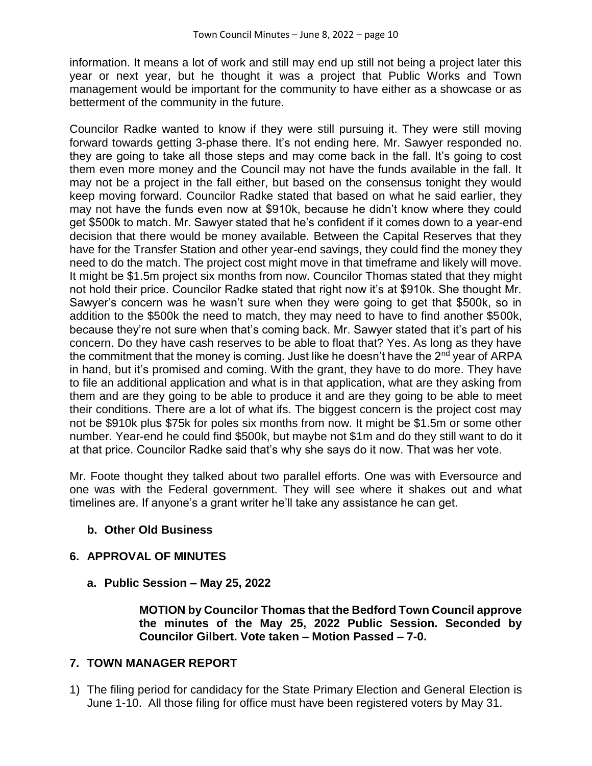information. It means a lot of work and still may end up still not being a project later this year or next year, but he thought it was a project that Public Works and Town management would be important for the community to have either as a showcase or as betterment of the community in the future.

Councilor Radke wanted to know if they were still pursuing it. They were still moving forward towards getting 3-phase there. It's not ending here. Mr. Sawyer responded no. they are going to take all those steps and may come back in the fall. It's going to cost them even more money and the Council may not have the funds available in the fall. It may not be a project in the fall either, but based on the consensus tonight they would keep moving forward. Councilor Radke stated that based on what he said earlier, they may not have the funds even now at \$910k, because he didn't know where they could get \$500k to match. Mr. Sawyer stated that he's confident if it comes down to a year-end decision that there would be money available. Between the Capital Reserves that they have for the Transfer Station and other year-end savings, they could find the money they need to do the match. The project cost might move in that timeframe and likely will move. It might be \$1.5m project six months from now. Councilor Thomas stated that they might not hold their price. Councilor Radke stated that right now it's at \$910k. She thought Mr. Sawyer's concern was he wasn't sure when they were going to get that \$500k, so in addition to the \$500k the need to match, they may need to have to find another \$500k, because they're not sure when that's coming back. Mr. Sawyer stated that it's part of his concern. Do they have cash reserves to be able to float that? Yes. As long as they have the commitment that the money is coming. Just like he doesn't have the  $2^{nd}$  year of ARPA in hand, but it's promised and coming. With the grant, they have to do more. They have to file an additional application and what is in that application, what are they asking from them and are they going to be able to produce it and are they going to be able to meet their conditions. There are a lot of what ifs. The biggest concern is the project cost may not be \$910k plus \$75k for poles six months from now. It might be \$1.5m or some other number. Year-end he could find \$500k, but maybe not \$1m and do they still want to do it at that price. Councilor Radke said that's why she says do it now. That was her vote.

Mr. Foote thought they talked about two parallel efforts. One was with Eversource and one was with the Federal government. They will see where it shakes out and what timelines are. If anyone's a grant writer he'll take any assistance he can get.

## **b. Other Old Business**

## **6. APPROVAL OF MINUTES**

**a. Public Session – May 25, 2022**

**MOTION by Councilor Thomas that the Bedford Town Council approve the minutes of the May 25, 2022 Public Session. Seconded by Councilor Gilbert. Vote taken – Motion Passed – 7-0.**

#### **7. TOWN MANAGER REPORT**

1) The filing period for candidacy for the State Primary Election and General Election is June 1-10. All those filing for office must have been registered voters by May 31.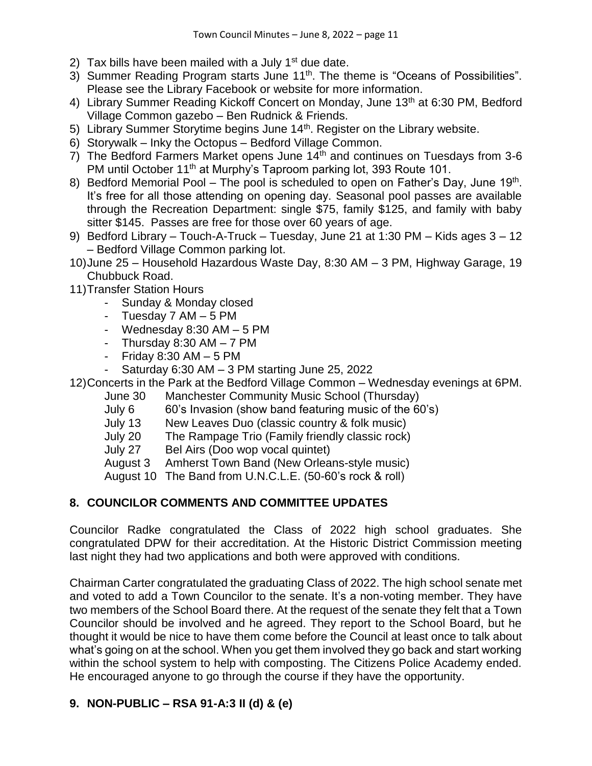- 2) Tax bills have been mailed with a July  $1<sup>st</sup>$  due date.
- 3) Summer Reading Program starts June 11<sup>th</sup>. The theme is "Oceans of Possibilities". Please see the Library Facebook or website for more information.
- 4) Library Summer Reading Kickoff Concert on Monday, June 13<sup>th</sup> at 6:30 PM, Bedford Village Common gazebo – Ben Rudnick & Friends.
- 5) Library Summer Storytime begins June 14<sup>th</sup>. Register on the Library website.
- 6) Storywalk Inky the Octopus Bedford Village Common.
- $7)$  The Bedford Farmers Market opens June 14<sup>th</sup> and continues on Tuesdays from 3-6 PM until October 11<sup>th</sup> at Murphy's Taproom parking lot, 393 Route 101.
- 8) Bedford Memorial Pool The pool is scheduled to open on Father's Day, June 19<sup>th</sup>. It's free for all those attending on opening day. Seasonal pool passes are available through the Recreation Department: single \$75, family \$125, and family with baby sitter \$145. Passes are free for those over 60 years of age.
- 9) Bedford Library Touch-A-Truck Tuesday, June 21 at 1:30 PM Kids ages 3 12 – Bedford Village Common parking lot.
- 10)June 25 Household Hazardous Waste Day, 8:30 AM 3 PM, Highway Garage, 19 Chubbuck Road.
- 11)Transfer Station Hours
	- Sunday & Monday closed
	- Tuesday 7 AM 5 PM
	- Wednesday 8:30 AM 5 PM
	- Thursday  $8:30$  AM  $-7$  PM
	- Friday  $8:30$  AM  $-5$  PM
	- Saturday  $6:30$  AM  $-3$  PM starting June 25, 2022

12)Concerts in the Park at the Bedford Village Common – Wednesday evenings at 6PM.

- June 30 Manchester Community Music School (Thursday)
- July 6 60's Invasion (show band featuring music of the 60's)
- July 13 New Leaves Duo (classic country & folk music)
- July 20 The Rampage Trio (Family friendly classic rock)
- July 27 Bel Airs (Doo wop vocal quintet)
- August 3 Amherst Town Band (New Orleans-style music)
- August 10 The Band from U.N.C.L.E. (50-60's rock & roll)

# **8. COUNCILOR COMMENTS AND COMMITTEE UPDATES**

Councilor Radke congratulated the Class of 2022 high school graduates. She congratulated DPW for their accreditation. At the Historic District Commission meeting last night they had two applications and both were approved with conditions.

Chairman Carter congratulated the graduating Class of 2022. The high school senate met and voted to add a Town Councilor to the senate. It's a non-voting member. They have two members of the School Board there. At the request of the senate they felt that a Town Councilor should be involved and he agreed. They report to the School Board, but he thought it would be nice to have them come before the Council at least once to talk about what's going on at the school. When you get them involved they go back and start working within the school system to help with composting. The Citizens Police Academy ended. He encouraged anyone to go through the course if they have the opportunity.

# **9. NON-PUBLIC – RSA 91-A:3 II (d) & (e)**